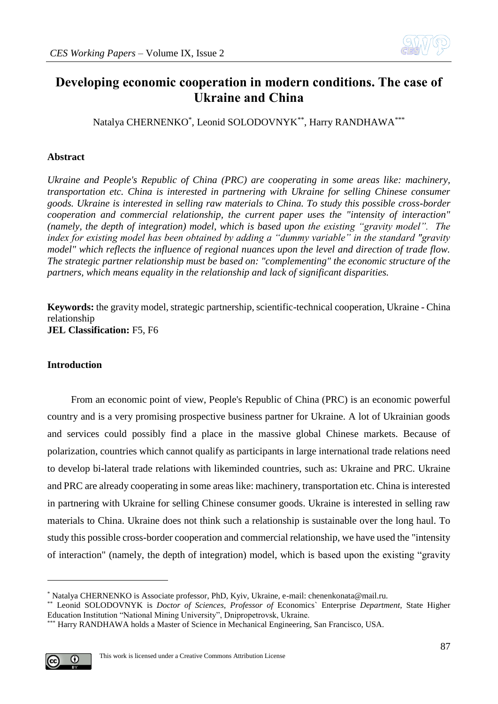

# **Developing economic cooperation in modern conditions. The case of Ukraine and China**

Natalya CHERNENKO\* , Leonid SOLODOVNYK\*\*, Harry RANDHAWA\*\*\*

# **Abstract**

*Ukraine and People's Republic of China (PRC) are cooperating in some areas like: machinery, transportation etc. China is interested in partnering with Ukraine for selling Chinese consumer goods. Ukraine is interested in selling raw materials to China. To study this possible cross-border cooperation and commercial relationship, the current paper uses the "intensity of interaction" (namely, the depth of integration) model, which is based upon the existing "gravity model". The index for existing model has been obtained by adding a "dummy variable" in the standard "gravity model" which reflects the influence of regional nuances upon the level and direction of trade flow. The strategic partner relationship must be based on: "complementing" the economic structure of the partners, which means equality in the relationship and lack of significant disparities.* 

**Keywords:** the gravity model, strategic partnership, scientific-technical cooperation, Ukraine - China relationship **JEL Classification:** F5, F6

# **Introduction**

From an economic point of view, People's Republic of China (PRC) is an economic powerful country and is a very promising prospective business partner for Ukraine. A lot of Ukrainian goods and services could possibly find a place in the massive global Chinese markets. Because of polarization, countries which cannot qualify as participants in large international trade relations need to develop bi-lateral trade relations with likeminded countries, such as: Ukraine and PRC. Ukraine and PRC are already cooperating in some areas like: machinery, transportation etc. China is interested in partnering with Ukraine for selling Chinese consumer goods. Ukraine is interested in selling raw materials to China. Ukraine does not think such a relationship is sustainable over the long haul. To study this possible cross-border cooperation and commercial relationship, we have used the "intensity of interaction" (namely, the depth of integration) model, which is based upon the existing "gravity

<sup>\*\*\*</sup> Harry RANDHAWA holds a Master of Science in Mechanical Engineering, San Francisco, USA.



<u>.</u>

<sup>\*</sup> Natalya CHERNENKO is Associate professor, PhD, Kyiv, Ukraine, e-mail: [chenenkonata@mail.ru.](mailto:chenenkonata@mail.ru)

<sup>\*\*</sup> Leonid SOLODOVNYK is *Doctor of Sciences, Professor of* Economics` Enterprise *Department,* State Higher Education Institution "National Mining University", Dnipropetrovsk, Ukraine.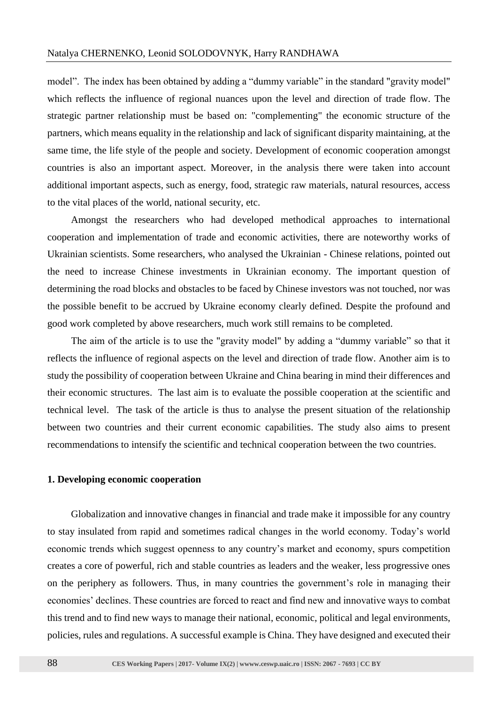model". The index has been obtained by adding a "dummy variable" in the standard "gravity model" which reflects the influence of regional nuances upon the level and direction of trade flow. The strategic partner relationship must be based on: "complementing" the economic structure of the partners, which means equality in the relationship and lack of significant disparity maintaining, at the same time, the life style of the people and society. Development of economic cooperation amongst countries is also an important aspect. Moreover, in the analysis there were taken into account additional important aspects, such as energy, food, strategic raw materials, natural resources, access to the vital places of the world, national security, etc.

Amongst the researchers who had developed methodical approaches to international cooperation and implementation of trade and economic activities, there are noteworthy works of Ukrainian scientists. Some researchers, who analysed the Ukrainian - Chinese relations, pointed out the need to increase Chinese investments in Ukrainian economy. The important question of determining the road blocks and obstacles to be faced by Chinese investors was not touched, nor was the possible benefit to be accrued by Ukraine economy clearly defined. Despite the profound and good work completed by above researchers, much work still remains to be completed.

The aim of the article is to use the "gravity model" by adding a "dummy variable" so that it reflects the influence of regional aspects on the level and direction of trade flow. Another aim is to study the possibility of cooperation between Ukraine and China bearing in mind their differences and their economic structures. The last aim is to evaluate the possible cooperation at the scientific and technical level. The task of the article is thus to analyse the present situation of the relationship between two countries and their current economic capabilities. The study also aims to present recommendations to intensify the scientific and technical cooperation between the two countries.

## **1. Developing economic cooperation**

Globalization and innovative changes in financial and trade make it impossible for any country to stay insulated from rapid and sometimes radical changes in the world economy. Today's world economic trends which suggest openness to any country's market and economy, spurs competition creates a core of powerful, rich and stable countries as leaders and the weaker, less progressive ones on the periphery as followers. Thus, in many countries the government's role in managing their economies' declines. These countries are forced to react and find new and innovative ways to combat this trend and to find new ways to manage their national, economic, political and legal environments, policies, rules and regulations. A successful example is China. They have designed and executed their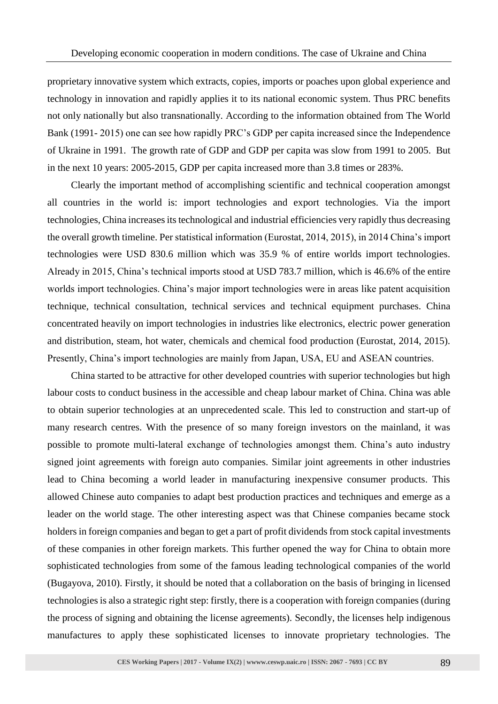proprietary innovative system which extracts, copies, imports or poaches upon global experience and technology in innovation and rapidly applies it to its national economic system. Thus PRC benefits not only nationally but also transnationally. According to the information obtained from The World Bank (1991- 2015) one can see how rapidly PRC's GDP per capita increased since the Independence of Ukraine in 1991. The growth rate of GDP and GDP per capita was slow from 1991 to 2005. But in the next 10 years: 2005-2015, GDP per capita increased more than 3.8 times or 283%.

Clearly the important method of accomplishing scientific and technical cooperation amongst all countries in the world is: import technologies and export technologies. Via the import technologies, China increases its technological and industrial efficiencies very rapidly thus decreasing the overall growth timeline. Per statistical information (Eurostat, 2014, 2015), in 2014 China's import technologies were USD 830.6 million which was 35.9 % of entire worlds import technologies. Already in 2015, China's technical imports stood at USD 783.7 million, which is 46.6% of the entire worlds import technologies. China's major import technologies were in areas like patent acquisition technique, technical consultation, technical services and technical equipment purchases. China concentrated heavily on import technologies in industries like electronics, electric power generation and distribution, steam, hot water, chemicals and chemical food production (Eurostat, 2014, 2015). Presently, China's import technologies are mainly from Japan, USA, EU and ASEAN countries.

China started to be attractive for other developed countries with superior technologies but high labour costs to conduct business in the accessible and cheap labour market of China. China was able to obtain superior technologies at an unprecedented scale. This led to construction and start-up of many research centres. With the presence of so many foreign investors on the mainland, it was possible to promote multi-lateral exchange of technologies amongst them. China's auto industry signed joint agreements with foreign auto companies. Similar joint agreements in other industries lead to China becoming a world leader in manufacturing inexpensive consumer products. This allowed Chinese auto companies to adapt best production practices and techniques and emerge as a leader on the world stage. The other interesting aspect was that Chinese companies became stock holders in foreign companies and began to get a part of profit dividends from stock capital investments of these companies in other foreign markets. This further opened the way for China to obtain more sophisticated technologies from some of the famous leading technological companies of the world (Bugayova*,* 2010). Firstly, it should be noted that a collaboration on the basis of bringing in licensed technologies is also a strategic right step: firstly, there is a cooperation with foreign companies (during the process of signing and obtaining the license agreements). Secondly, the licenses help indigenous manufactures to apply these sophisticated licenses to innovate proprietary technologies. The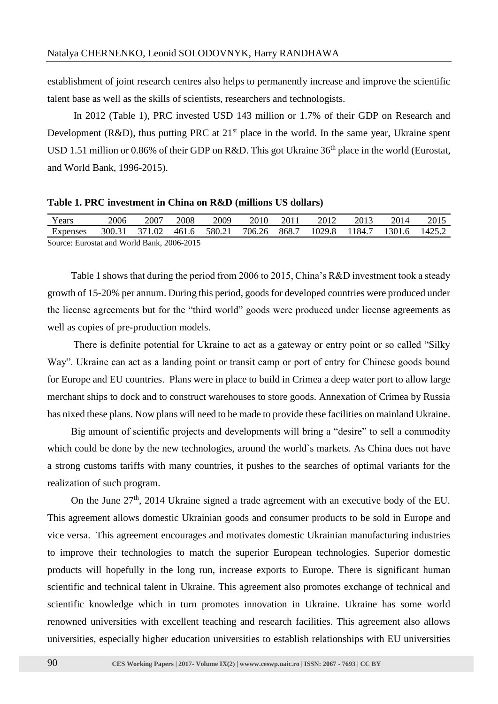establishment of joint research centres also helps to permanently increase and improve the scientific talent base as well as the skills of scientists, researchers and technologists.

In 2012 (Table 1), PRC invested USD 143 million or 1.7% of their GDP on Research and Development (R&D), thus putting PRC at  $21<sup>st</sup>$  place in the world. In the same year, Ukraine spent USD 1.51 million or 0.86% of their GDP on R&D. This got Ukraine 36<sup>th</sup> place in the world (Eurostat, and World Bank, 1996-2015).

#### **Table 1. PRC investment in China on R&D (millions US dollars)**

| Years                                      | 2006   | 2007   | 2008  | 2009   | 2010   | 2011  | 2012   | 2013   | 2014   | 2015   |
|--------------------------------------------|--------|--------|-------|--------|--------|-------|--------|--------|--------|--------|
| Expenses                                   | 300.31 | 371.02 | 461.6 | 580.21 | 706.26 | 868.7 | 1029.8 | 1184.7 | 1301.6 | 1425.2 |
| Source: Eurostat and World Bank, 2006-2015 |        |        |       |        |        |       |        |        |        |        |

Table 1 shows that during the period from 2006 to 2015, China's R&D investment took a steady growth of 15-20% per annum. During this period, goods for developed countries were produced under the license agreements but for the "third world" goods were produced under license agreements as well as copies of pre-production models.

There is definite potential for Ukraine to act as a gateway or entry point or so called "Silky Way". Ukraine can act as a landing point or transit camp or port of entry for Chinese goods bound for Europe and EU countries. Plans were in place to build in Crimea a deep water port to allow large merchant ships to dock and to construct warehouses to store goods. Annexation of Crimea by Russia has nixed these plans. Now plans will need to be made to provide these facilities on mainland Ukraine.

Big amount of scientific projects and developments will bring a "desire" to sell a commodity which could be done by the new technologies, around the world`s markets. As China does not have a strong customs tariffs with many countries, it pushes to the searches of optimal variants for the realization of such program.

On the June  $27<sup>th</sup>$ , 2014 Ukraine signed a trade agreement with an executive body of the EU. This agreement allows domestic Ukrainian goods and consumer products to be sold in Europe and vice versa. This agreement encourages and motivates domestic Ukrainian manufacturing industries to improve their technologies to match the superior European technologies. Superior domestic products will hopefully in the long run, increase exports to Europe. There is significant human scientific and technical talent in Ukraine. This agreement also promotes exchange of technical and scientific knowledge which in turn promotes innovation in Ukraine. Ukraine has some world renowned universities with excellent teaching and research facilities. This agreement also allows universities, especially higher education universities to establish relationships with EU universities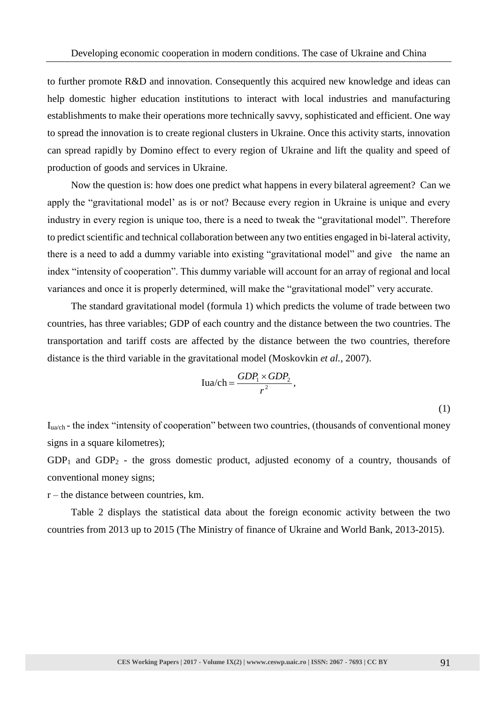to further promote R&D and innovation. Consequently this acquired new knowledge and ideas can help domestic higher education institutions to interact with local industries and manufacturing establishments to make their operations more technically savvy, sophisticated and efficient. One way to spread the innovation is to create regional clusters in Ukraine. Once this activity starts, innovation can spread rapidly by Domino effect to every region of Ukraine and lift the quality and speed of production of goods and services in Ukraine.

Now the question is: how does one predict what happens in every bilateral agreement? Can we apply the "gravitational model' as is or not? Because every region in Ukraine is unique and every industry in every region is unique too, there is a need to tweak the "gravitational model". Therefore to predict scientific and technical collaboration between any two entities engaged in bi-lateral activity, there is a need to add a dummy variable into existing "gravitational model" and give the name an index "intensity of cooperation". This dummy variable will account for an array of regional and local variances and once it is properly determined, will make the "gravitational model" very accurate.

The standard gravitational model (formula 1) which predicts the volume of trade between two countries, has three variables; GDP of each country and the distance between the two countries. The transportation and tariff costs are affected by the distance between the two countries, therefore distance is the third variable in the gravitational model (Moskovkin *et al.*, 2007).

$$
Iua/ch = \frac{GDP_1 \times GDP_2}{r^2},
$$

(1)

 $I_{\text{u}_2\text{h}}$  - the index "intensity of cooperation" between two countries, (thousands of conventional money signs in a square kilometres);

 $GDP<sub>1</sub>$  and  $GDP<sub>2</sub>$  - the gross domestic product, adjusted economy of a country, thousands of conventional money signs;

 $r$  – the distance between countries, km.

Table 2 displays the statistical data about the foreign economic activity between the two countries from 2013 up to 2015 (The Ministry of finance of Ukraine and World Bank, 2013-2015).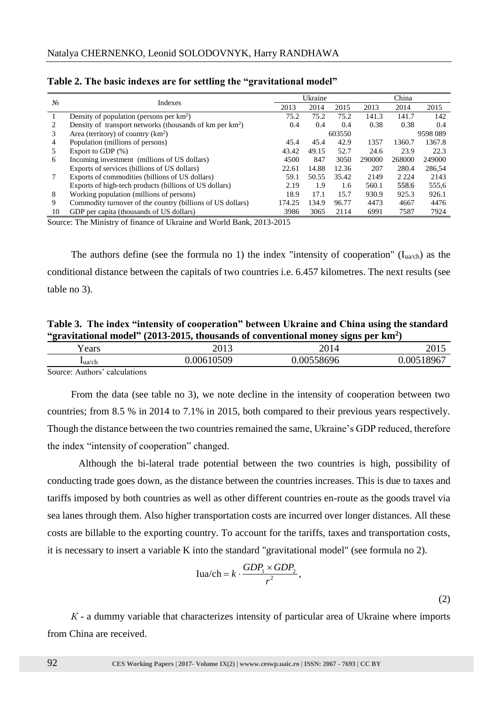|       |                                                               |        | Ukraine |       | China  |          |        |  |
|-------|---------------------------------------------------------------|--------|---------|-------|--------|----------|--------|--|
| $N_2$ | Indexes                                                       | 2013   | 2014    | 2015  | 2013   | 2014     | 2015   |  |
|       | Density of population (persons per $km^2$ )                   | 75.2   | 75.2    | 75.2  | 141.3  | 141.7    | 142    |  |
| 2     | Density of transport networks (thousands of $km$ per $km^2$ ) | 0.4    | 0.4     | 0.4   | 0.38   | 0.38     | 0.4    |  |
| 3     | Area (territory) of country $(km^2)$                          |        | 603550  |       |        | 9598 089 |        |  |
| 4     | Population (millions of persons)                              | 45.4   | 45.4    | 42.9  | 1357   | 1360.7   | 1367.8 |  |
| 5     | Export to GDP $(\%)$                                          | 43.42  | 49.15   | 52.7  | 24.6   | 23.9     | 22.3   |  |
| 6     | Incoming investment (millions of US dollars)                  | 4500   | 847     | 3050  | 290000 | 268000   | 249000 |  |
|       | Exports of services (billions of US dollars)                  | 22.61  | 14.88   | 12.36 | 207    | 280.4    | 286.54 |  |
|       | Exports of commodities (billions of US dollars)               | 59.1   | 50.55   | 35.42 | 2149   | 2 2 2 4  | 2143   |  |
|       | Exports of high-tech products (billions of US dollars)        | 2.19   | 1.9     | 1.6   | 560.1  | 558.6    | 555,6  |  |
| 8     | Working population (millions of persons)                      | 18.9   | 17.1    | 15.7  | 930.9  | 925.3    | 926.1  |  |
| 9     | Commodity turnover of the country (billions of US dollars)    | 174.25 | 134.9   | 96.77 | 4473   | 4667     | 4476   |  |
| 10    | GDP per capita (thousands of US dollars)                      | 3986   | 3065    | 2114  | 6991   | 7587     | 7924   |  |

|  |  |  | Table 2. The basic indexes are for settling the "gravitational model" |  |
|--|--|--|-----------------------------------------------------------------------|--|
|  |  |  |                                                                       |  |

Source: The Ministry of finance of Ukraine and World Bank, 2013-2015

The authors define (see the formula no 1) the index "intensity of cooperation" ( $I_{ua/ch}$ ) as the conditional distance between the capitals of two countries i.e. 6.457 kilometres. The next results (see table no 3).

**Table 3. The index "intensity of cooperation" between Ukraine and China using the standard "gravitational model" (2013-2015, thousands of conventional money signs per km<sup>2</sup> )**

| - -<br>ears | າດ12<br>201J | 2014      | .<br>201J |
|-------------|--------------|-----------|-----------|
| $\text{Lu}$ | .00610509    | .00558696 | .00518967 |
|             |              |           |           |

Source: Authors' calculations

From the data (see table no 3), we note decline in the intensity of cooperation between two countries; from 8.5 % in 2014 to 7.1% in 2015, both compared to their previous years respectively. Though the distance between the two countries remained the same, Ukraine's GDP reduced, therefore the index "intensity of cooperation" changed.

 Although the bi-lateral trade potential between the two countries is high, possibility of conducting trade goes down, as the distance between the countries increases. This is due to taxes and tariffs imposed by both countries as well as other different countries en-route as the goods travel via sea lanes through them. Also higher transportation costs are incurred over longer distances. All these costs are billable to the exporting country. To account for the tariffs, taxes and transportation costs, it is necessary to insert a variable K into the standard "gravitational model" (see formula no 2).

$$
Iua/ch = k \cdot \frac{GDP_1 \times GDP_2}{r^2},
$$

(2)

*К* - a dummy variable that characterizes intensity of particular area of Ukraine where imports from China are received.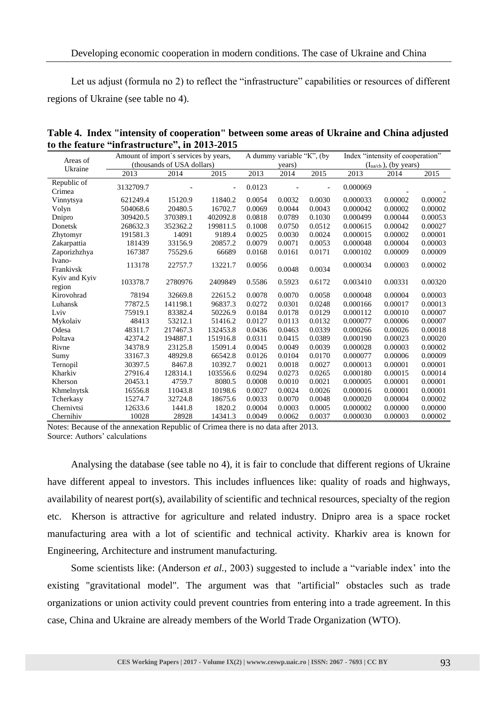Let us adjust (formula no 2) to reflect the "infrastructure" capabilities or resources of different regions of Ukraine (see table no 4).

|                         | Amount of import's services by years, | A dummy variable "K", (by  |          |        | Index "intensity of cooperation" |        |                                   |         |         |
|-------------------------|---------------------------------------|----------------------------|----------|--------|----------------------------------|--------|-----------------------------------|---------|---------|
| Areas of                |                                       | (thousands of USA dollars) |          | years) |                                  |        | $(I_{\text{ua/ch}})$ , (by years) |         |         |
| Ukraine                 | 2013                                  | 2014                       | 2015     | 2013   | 2014                             | 2015   | 2013                              | 2014    | 2015    |
| Republic of<br>Crimea   | 3132709.7                             |                            |          | 0.0123 |                                  |        | 0.000069                          |         |         |
| Vinnytsya               | 621249.4                              | 15120.9                    | 11840.2  | 0.0054 | 0.0032                           | 0.0030 | 0.000033                          | 0.00002 | 0.00002 |
| Volyn                   | 504068.6                              | 20480.5                    | 16702.7  | 0.0069 | 0.0044                           | 0.0043 | 0.000042                          | 0.00002 | 0.00002 |
| Dnipro                  | 309420.5                              | 370389.1                   | 402092.8 | 0.0818 | 0.0789                           | 0.1030 | 0.000499                          | 0.00044 | 0.00053 |
| Donetsk                 | 268632.3                              | 352362.2                   | 199811.5 | 0.1008 | 0.0750                           | 0.0512 | 0.000615                          | 0.00042 | 0.00027 |
| Zhytomyr                | 191581.3                              | 14091                      | 9189.4   | 0.0025 | 0.0030                           | 0.0024 | 0.000015                          | 0.00002 | 0.00001 |
| Zakarpattia             | 181439                                | 33156.9                    | 20857.2  | 0.0079 | 0.0071                           | 0.0053 | 0.000048                          | 0.00004 | 0.00003 |
| Zaporizhzhya            | 167387                                | 75529.6                    | 66689    | 0.0168 | 0.0161                           | 0.0171 | 0.000102                          | 0.00009 | 0.00009 |
| Ivano-<br>Frankivsk     | 113178                                | 22757.7                    | 13221.7  | 0.0056 | 0.0048                           | 0.0034 | 0.000034                          | 0.00003 | 0.00002 |
| Kyiv and Kyiv<br>region | 103378.7                              | 2780976                    | 2409849  | 0.5586 | 0.5923                           | 0.6172 | 0.003410                          | 0.00331 | 0.00320 |
| Kirovohrad              | 78194                                 | 32669.8                    | 22615.2  | 0.0078 | 0.0070                           | 0.0058 | 0.000048                          | 0.00004 | 0.00003 |
| Luhansk                 | 77872.5                               | 141198.1                   | 96837.3  | 0.0272 | 0.0301                           | 0.0248 | 0.000166                          | 0.00017 | 0.00013 |
| Lviv                    | 75919.1                               | 83382.4                    | 50226.9  | 0.0184 | 0.0178                           | 0.0129 | 0.000112                          | 0.00010 | 0.00007 |
| Mykolaiv                | 48413                                 | 53212.1                    | 51416.2  | 0.0127 | 0.0113                           | 0.0132 | 0.000077                          | 0.00006 | 0.00007 |
| Odesa                   | 48311.7                               | 217467.3                   | 132453.8 | 0.0436 | 0.0463                           | 0.0339 | 0.000266                          | 0.00026 | 0.00018 |
| Poltava                 | 42374.2                               | 194887.1                   | 151916.8 | 0.0311 | 0.0415                           | 0.0389 | 0.000190                          | 0.00023 | 0.00020 |
| Rivne                   | 34378.9                               | 23125.8                    | 15091.4  | 0.0045 | 0.0049                           | 0.0039 | 0.000028                          | 0.00003 | 0.00002 |
| Sumy                    | 33167.3                               | 48929.8                    | 66542.8  | 0.0126 | 0.0104                           | 0.0170 | 0.000077                          | 0.00006 | 0.00009 |
| Ternopil                | 30397.5                               | 8467.8                     | 10392.7  | 0.0021 | 0.0018                           | 0.0027 | 0.000013                          | 0.00001 | 0.00001 |
| Kharkiv                 | 27916.4                               | 128314.1                   | 103556.6 | 0.0294 | 0.0273                           | 0.0265 | 0.000180                          | 0.00015 | 0.00014 |
| Kherson                 | 20453.1                               | 4759.7                     | 8080.5   | 0.0008 | 0.0010                           | 0.0021 | 0.000005                          | 0.00001 | 0.00001 |
| Khmelnytsk              | 16556.8                               | 11043.8                    | 10198.6  | 0.0027 | 0.0024                           | 0.0026 | 0.000016                          | 0.00001 | 0.00001 |
| Tcherkasy               | 15274.7                               | 32724.8                    | 18675.6  | 0.0033 | 0.0070                           | 0.0048 | 0.000020                          | 0.00004 | 0.00002 |
| Chernivtsi              | 12633.6                               | 1441.8                     | 1820.2   | 0.0004 | 0.0003                           | 0.0005 | 0.000002                          | 0.00000 | 0.00000 |
| Chernihiv               | 10028                                 | 28928                      | 14341.3  | 0.0049 | 0.0062                           | 0.0037 | 0.000030                          | 0.00003 | 0.00002 |

**Table 4. Index "intensity of cooperation" between some areas of Ukraine and China adjusted to the feature "infrastructure", in 2013-2015**

Notes: Because of the annexation Republic of Crimea there is no data after 2013. Source: Authors' calculations

Analysing the database (see table no 4), it is fair to conclude that different regions of Ukraine have different appeal to investors. This includes influences like: quality of roads and highways, availability of nearest port(s), availability of scientific and technical resources, specialty of the region etc. Kherson is attractive for agriculture and related industry. Dnipro area is a space rocket manufacturing area with a lot of scientific and technical activity. Kharkiv area is known for Engineering, Architecture and instrument manufacturing.

Some scientists like: (Anderson *et al.,* 2003) suggested to include a "variable index' into the existing "gravitational model". The argument was that "artificial" obstacles such as trade organizations or union activity could prevent countries from entering into a trade agreement. In this case, China and Ukraine are already members of the World Trade Organization (WTO).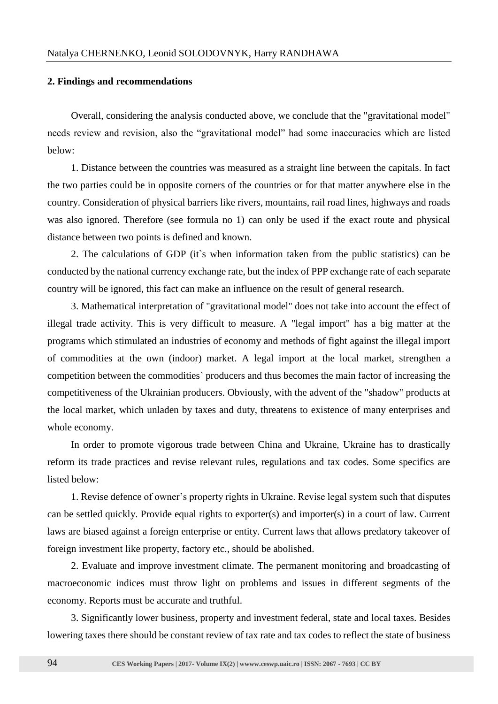#### **2. Findings and recommendations**

Overall, considering the analysis conducted above, we conclude that the "gravitational model" needs review and revision, also the "gravitational model" had some inaccuracies which are listed below:

1. Distance between the countries was measured as a straight line between the capitals. In fact the two parties could be in opposite corners of the countries or for that matter anywhere else in the country. Consideration of physical barriers like rivers, mountains, rail road lines, highways and roads was also ignored. Therefore (see formula no 1) can only be used if the exact route and physical distance between two points is defined and known.

2. The calculations of GDP (it`s when information taken from the public statistics) can be conducted by the national currency exchange rate, but the index of PPP exchange rate of each separate country will be ignored, this fact can make an influence on the result of general research.

3. Mathematical interpretation of "gravitational model" does not take into account the effect of illegal trade activity. This is very difficult to measure. A "legal import" has a big matter at the programs which stimulated an industries of economy and methods of fight against the illegal import of commodities at the own (indoor) market. A legal import at the local market, strengthen a competition between the commodities` producers and thus becomes the main factor of increasing the competitiveness of the Ukrainian producers. Obviously, with the advent of the "shadow" products at the local market, which unladen by taxes and duty, threatens to existence of many enterprises and whole economy.

In order to promote vigorous trade between China and Ukraine, Ukraine has to drastically reform its trade practices and revise relevant rules, regulations and tax codes. Some specifics are listed below:

1. Revise defence of owner's property rights in Ukraine. Revise legal system such that disputes can be settled quickly. Provide equal rights to exporter(s) and importer(s) in a court of law. Current laws are biased against a foreign enterprise or entity. Current laws that allows predatory takeover of foreign investment like property, factory etc., should be abolished.

2. Evaluate and improve investment climate. The permanent monitoring and broadcasting of macroeconomic indices must throw light on problems and issues in different segments of the economy. Reports must be accurate and truthful.

3. Significantly lower business, property and investment federal, state and local taxes. Besides lowering taxes there should be constant review of tax rate and tax codes to reflect the state of business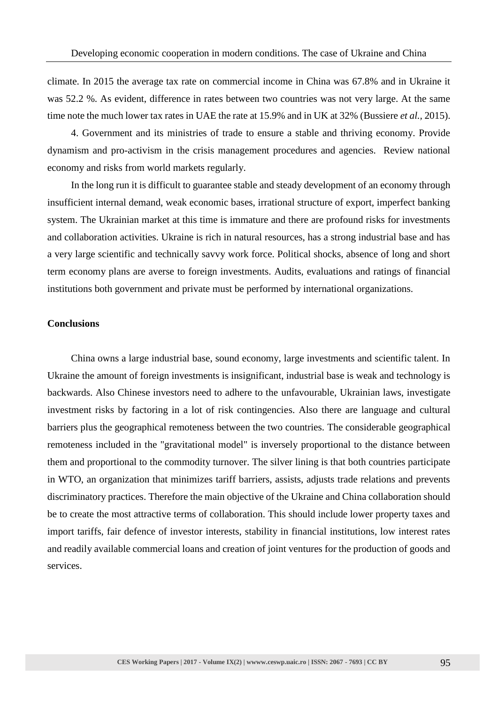climate. In 2015 the average tax rate on commercial income in China was 67.8% and in Ukraine it was 52.2 %. As evident, difference in rates between two countries was not very large. At the same time note the much lower tax rates in UAE the rate at 15.9% and in UK at 32% (Bussiere *et al.,* 2015).

4. Government and its ministries of trade to ensure a stable and thriving economy. Provide dynamism and pro-activism in the crisis management procedures and agencies. Review national economy and risks from world markets regularly.

In the long run it is difficult to guarantee stable and steady development of an economy through insufficient internal demand, weak economic bases, irrational structure of export, imperfect banking system. The Ukrainian market at this time is immature and there are profound risks for investments and collaboration activities. Ukraine is rich in natural resources, has a strong industrial base and has a very large scientific and technically savvy work force. Political shocks, absence of long and short term economy plans are averse to foreign investments. Audits, evaluations and ratings of financial institutions both government and private must be performed by international organizations.

### **Conclusions**

China owns a large industrial base, sound economy, large investments and scientific talent. In Ukraine the amount of foreign investments is insignificant, industrial base is weak and technology is backwards. Also Chinese investors need to adhere to the unfavourable, Ukrainian laws, investigate investment risks by factoring in a lot of risk contingencies. Also there are language and cultural barriers plus the geographical remoteness between the two countries. The considerable geographical remoteness included in the "gravitational model" is inversely proportional to the distance between them and proportional to the commodity turnover. The silver lining is that both countries participate in WTO, an organization that minimizes tariff barriers, assists, adjusts trade relations and prevents discriminatory practices. Therefore the main objective of the Ukraine and China collaboration should be to create the most attractive terms of collaboration. This should include lower property taxes and import tariffs, fair defence of investor interests, stability in financial institutions, low interest rates and readily available commercial loans and creation of joint ventures for the production of goods and services.